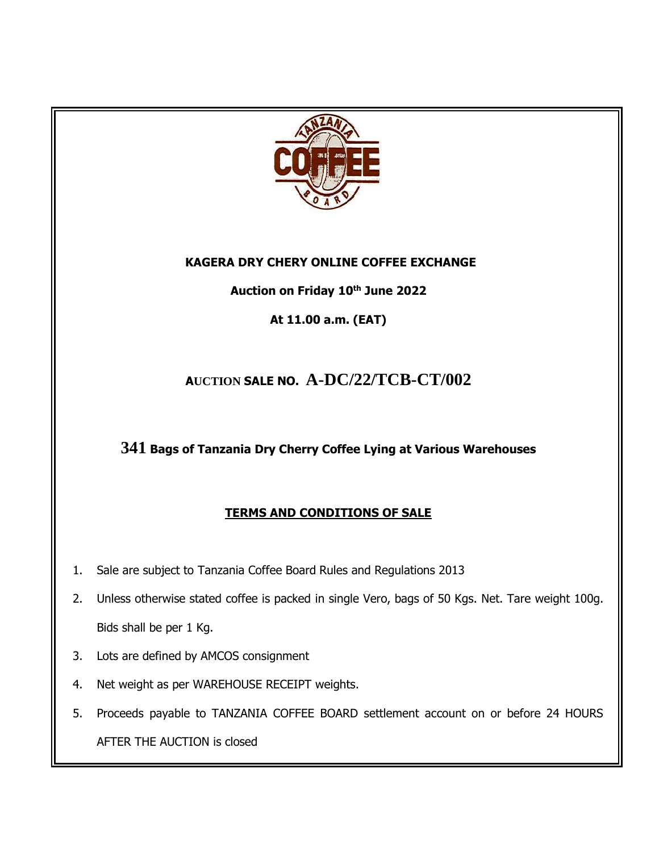

#### **KAGERA DRY CHERY ONLINE COFFEE EXCHANGE**

### **Auction on Friday 10th June 2022**

**At 11.00 a.m. (EAT)**

## **<sup>A</sup>UCTION SALE NO. A-DC/22/TCB-CT/002**

## **341 Bags of Tanzania Dry Cherry Coffee Lying at Various Warehouses**

## **TERMS AND CONDITIONS OF SALE**

- 1. Sale are subject to Tanzania Coffee Board Rules and Regulations 2013
- 2. Unless otherwise stated coffee is packed in single Vero, bags of 50 Kgs. Net. Tare weight 100g. Bids shall be per 1 Kg.
- 3. Lots are defined by AMCOS consignment
- 4. Net weight as per WAREHOUSE RECEIPT weights.
- 5. Proceeds payable to TANZANIA COFFEE BOARD settlement account on or before 24 HOURS AFTER THE AUCTION is closed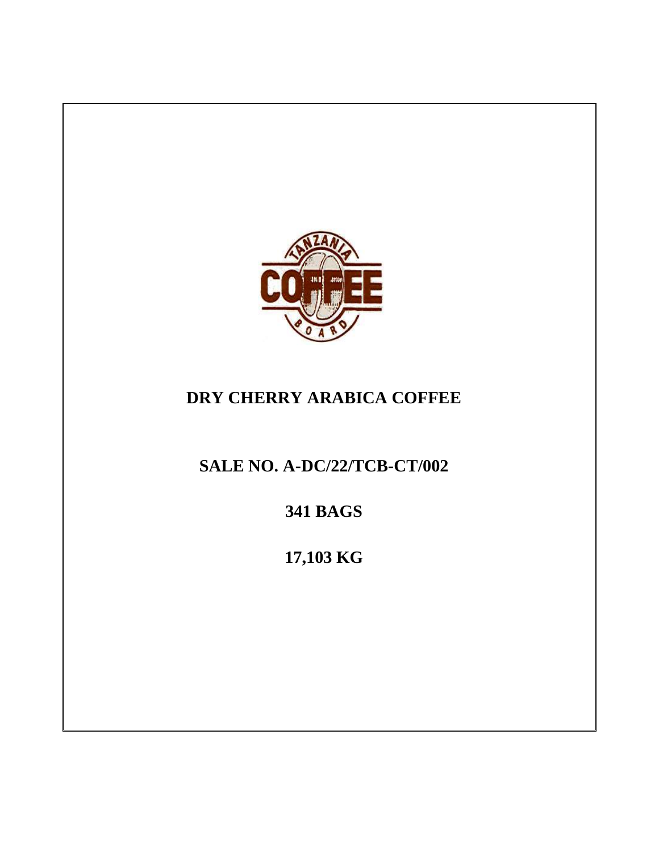

# **DRY CHERRY ARABICA COFFEE**

**SALE NO. A-DC/22/TCB-CT/002**

**341 BAGS**

**17,103 KG**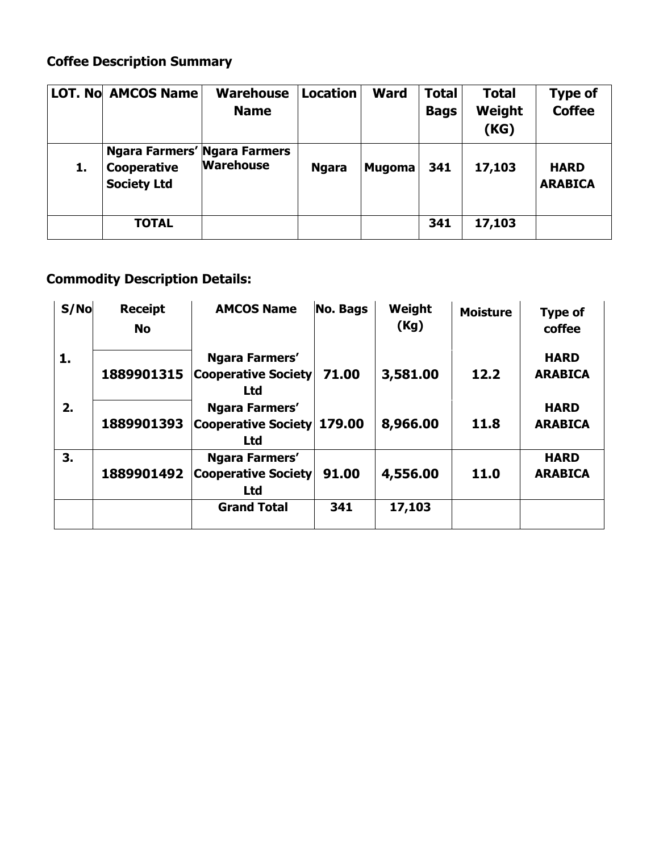# **Coffee Description Summary**

|    | <b>LOT. No AMCOS Name</b>                                                | <b>Warehouse</b><br><b>Name</b> | <b>Location</b> | <b>Ward</b>   | <b>Total</b><br><b>Bags</b> | <b>Total</b><br>Weight<br>(KG) | Type of<br><b>Coffee</b>      |
|----|--------------------------------------------------------------------------|---------------------------------|-----------------|---------------|-----------------------------|--------------------------------|-------------------------------|
| 1. | <b>Ngara Farmers' Ngara Farmers</b><br>Cooperative<br><b>Society Ltd</b> | <b>Warehouse</b>                | <b>Ngara</b>    | <b>Mugoma</b> | 341                         | 17,103                         | <b>HARD</b><br><b>ARABICA</b> |
|    | <b>TOTAL</b>                                                             |                                 |                 |               | 341                         | 17,103                         |                               |

# **Commodity Description Details:**

| S/No | <b>Receipt</b><br><b>No</b> | <b>AMCOS Name</b>                                          | No. Bags | Weight<br>(Kg) | <b>Moisture</b> | <b>Type of</b><br>coffee      |
|------|-----------------------------|------------------------------------------------------------|----------|----------------|-----------------|-------------------------------|
| 1.   | 1889901315                  | Ngara Farmers'<br><b>Cooperative Society</b><br><b>Ltd</b> | 71.00    | 3,581.00       | 12.2            | <b>HARD</b><br><b>ARABICA</b> |
| 2.   | 1889901393                  | Ngara Farmers'<br><b>Cooperative Society</b><br><b>Ltd</b> | 179.00   | 8,966.00       | 11.8            | <b>HARD</b><br><b>ARABICA</b> |
| 3.   | 1889901492                  | Ngara Farmers'<br><b>Cooperative Society</b><br><b>Ltd</b> | 91.00    | 4,556.00       | 11.0            | <b>HARD</b><br><b>ARABICA</b> |
|      |                             | <b>Grand Total</b>                                         | 341      | 17,103         |                 |                               |